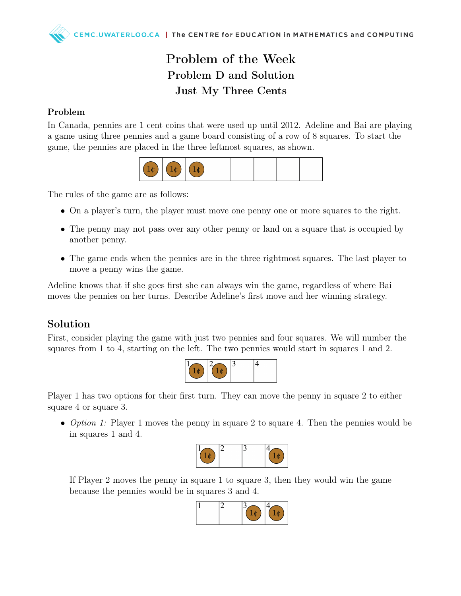## Problem of the Week Problem D and Solution Just My Three Cents

## Problem

In Canada, pennies are 1 cent coins that were used up until 2012. Adeline and Bai are playing a game using three pennies and a game board consisting of a row of 8 squares. To start the game, the pennies are placed in the three leftmost squares, as shown.



The rules of the game are as follows:

- On a player's turn, the player must move one penny one or more squares to the right.
- The penny may not pass over any other penny or land on a square that is occupied by another penny.
- The game ends when the pennies are in the three rightmost squares. The last player to move a penny wins the game.

Adeline knows that if she goes first she can always win the game, regardless of where Bai moves the pennies on her turns. Describe Adeline's first move and her winning strategy.

## Solution

First, consider playing the game with just two pennies and four squares. We will number the squares from 1 to 4, starting on the left. The two pennies would start in squares 1 and 2.



Player 1 has two options for their first turn. They can move the penny in square 2 to either square 4 or square 3.

• *Option 1:* Player 1 moves the penny in square 2 to square 4. Then the pennies would be in squares 1 and 4.



If Player 2 moves the penny in square 1 to square 3, then they would win the game because the pennies would be in squares 3 and 4.